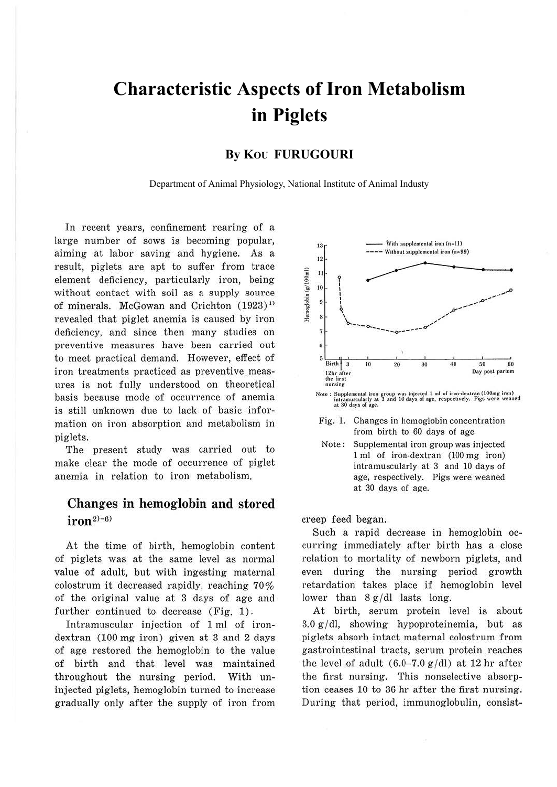# **Characteristic Aspects of Iron Metabolism** in Piglets

## By KOU FURUGOURI

Department of Animal Physiology, National Institute of Animal Industy

In recent years, confinement rearing of a large number of sows is becoming popular, aiming at labor saving and hygiene. As a result, piglets are apt to suffer from trace element deficiency, particularly iron, being without contact with soil as a supply source of minerals. McGowan and Crichton (1923)<sup>1)</sup> revealed that piglet anemia is caused by iron deficiency, and since then many studies on preventive measures have been carried out to meet practical demand. However, effect of iron treatments practiced as preventive measures is not fully understood on theoretical basis because mode of occurrence of anemia is still unknown due to lack of basic information on iron absorption and metabolism in piglets.

The present study was carried out to make clear the mode of occurrence of piglet anemia in relation to iron metabolism.

## Changes in hemoglobin and stored  $iron^{2)-6}$

At the time of birth, hemoglobin content of piglets was at the same level as normal value of adult, but with ingesting maternal colostrum it decreased rapidly, reaching 70% of the original value at 3 days of age and further continued to decrease (Fig. 1).

Intramuscular injection of 1 ml of irondextran (100 mg iron) given at 3 and 2 days of age restored the hemoglobin to the value of birth and that level was maintained throughout the nursing period. With uninjected piglets, hemoglobin turned to increase gradually only after the supply of iron from





Fig. 1. Changes in hemoglobin concentration from birth to 60 days of age

Supplemental iron group was injected Note: 1 ml of iron-dextran (100 mg iron) intramuscularly at 3 and 10 days of age, respectively. Pigs were weaned at 30 days of age.

creep feed began.

Such a rapid decrease in hemoglobin occurring immediately after birth has a close relation to mortality of newborn piglets, and even during the nursing period growth retardation takes place if hemoglobin level lower than  $8g/dl$  lasts long.

At birth, serum protein level is about  $3.0 g/dl$ , showing hypoproteinemia, but as piglets absorb intact maternal colostrum from gastrointestinal tracts, serum protein reaches the level of adult  $(6.0-7.0 \text{ g}/\text{d})$  at 12 hr after the first nursing. This nonselective absorption ceases 10 to 36 hr after the first nursing. During that period, immunoglobulin, consist-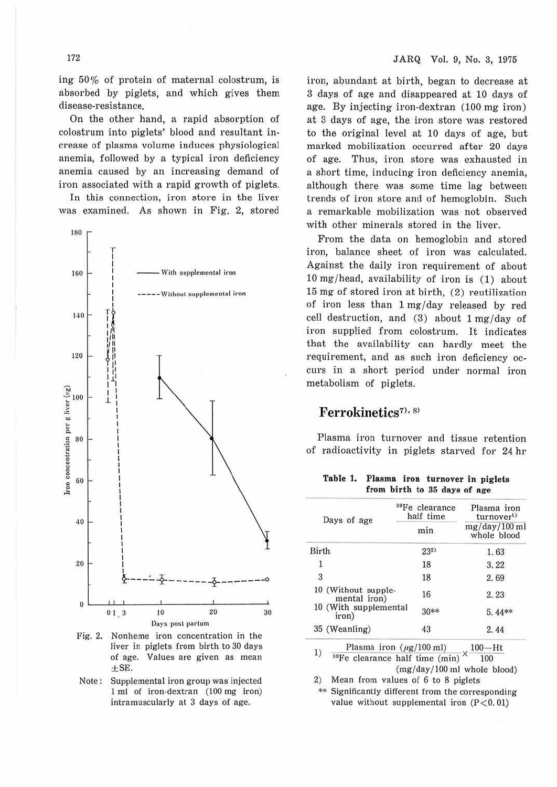JARQ Vol. 9, No. 3, 1975

ing 50% of protein of maternal colostrum, is absorbed by piglets, and which gives them disease-resistance.

On the other hand, a rapid absorption of colostrum into piglets' blood and resultant increase of plasma volume induces physiological anemia, followed by a typical iron deficiency anemia caused by an increasing demand of iron associated with a rapid growth of piglets.

In this connection, iron store in the liver was examined. As shown in Fig. 2, stored



Fig. 2. Nonheme iron concentration in the liver in piglets from birth to 30 days of age. Values are given as mean  $\pm$ SE.

Note: Supplemental iron group was injected 1 ml of iron-dextran (100 mg iron) intramuscularly at 3 days of age.

iron, abundant at birth, began to decrease at 3 days of age and disappeared at 10 days of age. By injecting iron-dextran (100 mg iron) at 3 days of age, the iron store was restored to the original level at 10 days of age, but marked mobilization occurred after 20 days of age. Thus, iron store was exhausted in a short time, inducing iron deficiency anemia, although there was some time lag between trends of iron store and of hemoglobin. Such a remarkable mobilization was not observed with other minerals stored in the liver.

From the data on hemoglobin and stored iron, balance sheet of iron was calculated. Against the daily iron requirement of about 10 mg/head, availability of iron is (1) about 15 mg of stored iron at birth. (2) reutilization of iron less than 1 mg/day released by red cell destruction, and (3) about 1 mg/day of iron supplied from colostrum. It indicates that the availability can hardly meet the requirement, and as such iron deficiency occurs in a short period under normal iron metabolism of piglets.

## Ferrokinetics<sup>7), 8)</sup>

Plasma iron turnover and tissue retention of radioactivity in piglets starved for 24 hr

Table 1. Plasma iron turnover in piglets from birth to 35 days of age

|              | Days of age                                          | <sup>59</sup> Fe clearance<br>half time | Plasma iron<br>turnover <sup>1</sup><br>mg/day/100 ml<br>whole blood<br>1.63 |  |  |  |
|--------------|------------------------------------------------------|-----------------------------------------|------------------------------------------------------------------------------|--|--|--|
|              |                                                      | min                                     |                                                                              |  |  |  |
| Birth        |                                                      | 232                                     |                                                                              |  |  |  |
| $\Phi$       |                                                      | 18                                      | 3, 22                                                                        |  |  |  |
| 3            |                                                      | 18                                      | 2.69                                                                         |  |  |  |
|              | 10 (Without supple-<br>mental iron)                  | 16                                      | 2.23                                                                         |  |  |  |
|              | 10 (With supplemental<br>iron)                       | 30**                                    | 5.44**                                                                       |  |  |  |
|              | 35 (Weanling)                                        | 43                                      | 2.44                                                                         |  |  |  |
|              | Plasma iron $(\mu g/100 \text{ ml})$                 | $100-Ht$                                |                                                                              |  |  |  |
| 1)           | <sup>59</sup> Fe clearance half time (min)<br>100    |                                         |                                                                              |  |  |  |
| $\mathbf{a}$ | $M_{\rm{max}}$ from $\sim 1$ or $\sim 0$ to $\sim 0$ | $(mg/day/100 \text{ ml}$ whole blood)   |                                                                              |  |  |  |

Mean from values of 6 to 8 piglets 2)

Significantly different from the corresponding value without supplemental iron  $(P<0.01)$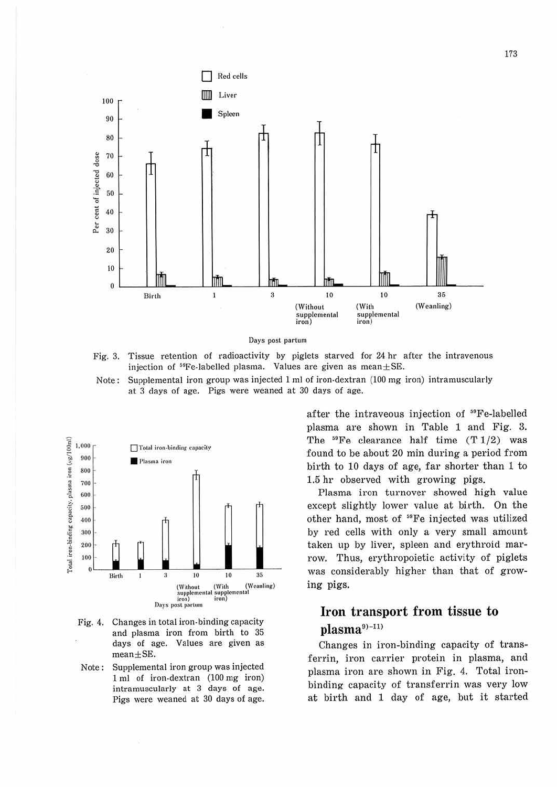

Days post partum

Fig. 3. Tissue retention of radioactivity by piglets starved for 24 hr after the intravenous injection of  $^{59}$ Fe-labelled plasma. Values are given as mean $\pm$ SE.

Supplemental iron group was injected 1 ml of iron-dextran (100 mg iron) intramuscularly Note: at 3 days of age. Pigs were weaned at 30 days of age.



- Changes in total iron-binding capacity Fig. 4. and plasma iron from birth to 35 days of age. Values are given as  $mean + SE$ .
- Supplemental iron group was injected Note: 1 ml of iron-dextran (100 mg iron) intramuscularly at 3 days of age. Pigs were weaned at 30 days of age.

after the intraveous injection of <sup>59</sup>Fe-labelled plasma are shown in Table 1 and Fig. 3. The  $^{59}$ Fe clearance half time  $(T1/2)$  was found to be about 20 min during a period from birth to 10 days of age, far shorter than 1 to 1.5 hr observed with growing pigs.

Plasma iron turnover showed high value except slightly lower value at birth. On the other hand, most of <sup>59</sup>Fe injected was utilized by red cells with only a very small amount taken up by liver, spleen and erythroid marrow. Thus, erythropoietic activity of piglets was considerably higher than that of growing pigs.

## Iron transport from tissue to plasma9)-11)

Changes in iron-binding capacity of transferrin, iron carrier protein in plasma, and plasma iron are shown in Fig. 4. Total ironbinding capacity of transferrin was very low at birth and 1 day of age, but it started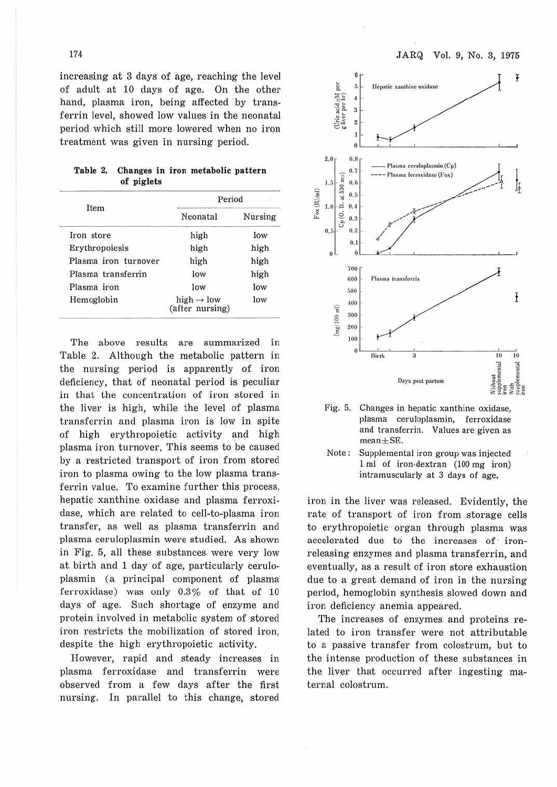JARQ Vol. 9, No. 3, 1975

increasing at 3 days of age, reaching the level of adult at 10 days of age. On the other hand, plasma iron, being affected by transferrin level, showed low values in the neonatal period which still more lowered when no iron treatment was given in nursing period.

|            |  | Table 2. Changes in iron metabolic pattern |  |
|------------|--|--------------------------------------------|--|
| of piglets |  |                                            |  |

|                      | Period                                    |         |  |  |
|----------------------|-------------------------------------------|---------|--|--|
| Item                 | Neonatal                                  | Nursing |  |  |
| Iron store           | high                                      | low     |  |  |
| Erythropoiesis       | high                                      | high    |  |  |
| Plasma iron turnover | high                                      | high    |  |  |
| Plasma transferrin   | low                                       | high    |  |  |
| Plasma iron          | low                                       | low     |  |  |
| Hemoglobin           | high $\rightarrow$ low<br>(after nursing) | low     |  |  |

The above results are summarized in Table 2. Although the metabolic pattern in the nursing period is apparently of iron deficiency, that of neonatal period is peculiar in that the concentration of iron stored in the liver is high, while the level of plasma transferrin and plasma iron is low in spite of high erythropoietic activity and high plasma iron turnover. This seems to be caused by a restricted transport of iron from stored iron to plasma owing to the low plasma transferrin value. To examine further this process, hepatic xanthine oxidase and plasma ferroxidase, which are related to cell-to-plasma iron transfer, as well as plasma transferrin and plasma ceruloplasmin were studied. As shown in Fig. 5, all these substances were very low at birth and 1 day of age, particularly ceruloplasmin (a principal component of plasma ferroxidase) was only  $0.3\%$  of that of 10 days of age. Such shortage of enzyme and protein involved in metabolic system of stored iron restricts the mobilization of stored iron, despite the high erythropoietic activity.

However, rapid and steady increases in plasma ferroxidase and transferrin were observed from a few days after the first nursing. In parallel to this change, stored



Fig. 5. Changes in hepatic xanthine oxidase, plasma ceruloplasmin, ferroxidase and transferrin. Values are given as  $mean + SE$ .

iron in the liver was released. Evidently, the rate of transport of iron from storage cells to erythropoietic organ through plasma was accelerated due to the increases of· ironreleasing enzymes and plasma transferrin, and eventually, as a result of iron store exhaustion due to a great demand of iron in the nursing period, hemoglobin synthesis slowed down and iron deficiency anemia appeared.

The increases of enzymes and proteins related to iron transfer were not attributable to a passive transfer from colostrum, but to the intense production of these substances in the liver that occurred after ingesting matemal colostrum.

174

Note: Supplemental iron group was injected l ml of iron-dextran (100 mg iron) intramuscularly at 3 days of age.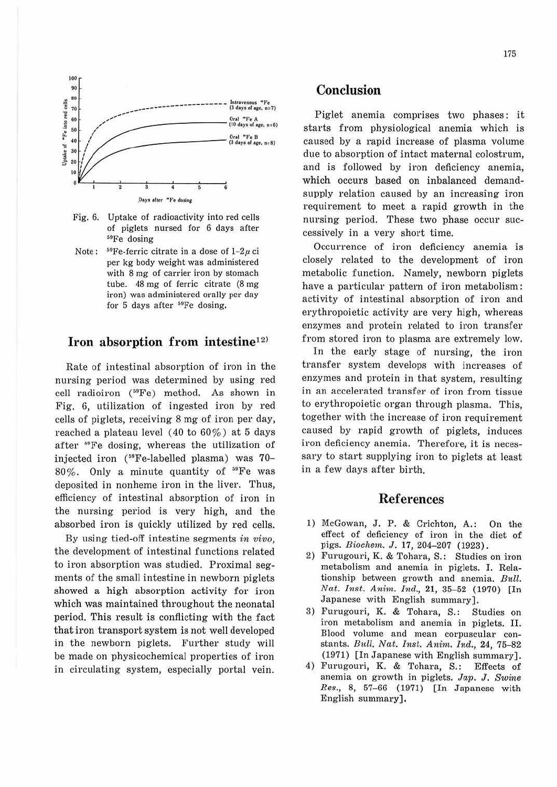

- Fig. 6. Uptake of radioactivity into red cells of piglets nursed for 6 days after  $59Fe$  dosing
- Note:  $^{59}$ Fe-ferric citrate in a dose of  $1-2\mu$  ci per kg body weight was administered with 8 mg of carrier iron by stomach tube. 48 mg of ferric citrate (8 mg iron) was administered orally per day for 5 days after <sup>59</sup>Fe dosing.

## **Iron absorption from intestine12<sup>&</sup>gt;**

Rate of intestinal absorption of iron in the nursing period was determined by using red cell radioiron (<sup>59</sup>Fe) method. As shown in Fig. 6, utilization of ingested iron by red cells of piglets, receiving 8 mg of iron per day, reached a plateau level ( 40 to 60%) at 5 days after '°Fe dosing, whereas the utilization of injected iron (59Fe-labelled plasma) was 70- 80%. Only a minute quantity of 59Fe was deposited in nonheme iron in the liver. Thus, efficiency of intestinal absorption of iron in the nursing period is very high, and the absorbed iron is quickly utilized by red cells.

By using tied-off intestine segments *in vivo,*  the development of intestinal functions related to iron absorption was studied. Proximal segments of the small intestine in newborn piglets showed a high absorption activity for iron which was maintained throughout the neonatal period. This result is conflicting with the fact that iron transport system is not well developed in the newborn piglets. Further study will be made on physicochemical properties of iron in circulating system, especially portal vein.

## **Conclusion**

Piglet anemia comprises two phases: it starts from physiological anemia which is caused by a rapid increase of plasma volume due to absorption of intact maternal colostrum, and is followed by iron deficiency anemia, which occurs based on inbalanced demandsupply relation caused by an increasing iron requirement to meet a rapid growth in the nursing period. These two phase occur successively in a very short time.

Occurrence of iron deficiency anemia is closely related to the development of iron metabolic function. Namely, newborn piglets have a particular pattern of iron metabolism: activity of intestinal absorption of iron and erythropoietic activity are very high, whereas enzymes and protein related to iron transfer from stored iron to plasma are extremely low.

In the early stage of nursing, the iron transfer system develops with increases of enzymes and protein in that system, resulting in an accelerated transfer of iron from tissue to erythropoietic organ through plasma. This, together with the increase of iron requirement caused by rapid growth of piglets, induces iron deficiency anemia. Therefore, it is necessary to start supplying iron to piglets at least in a few days after birth.

#### **References**

- 1) McGowan, J. P. & Crichton, A.: On the effect of deficiency of iron in the diet of pigs. *Biochem. J.* 17, 204-207 (1923).
- 2) Furugouri, K. & Tohara, S.: Studies on iron metabolism and anemia in piglets. I. Relationship between growth and anemia. Bull. *Nat. Inst. Anim. Ind., 21, 35-52 (1970)* [In Japanese with English summary].
- 3) Furugouri, K. & Tohara, S.: Studies on iron metabolism and anemia in piglets. II. Blood volume and mean corpuscular constants. *Bitll. Nat. Inst. Anini. Ind.,* 24, 75-82 (1971) [In Japanese with English summary] .
- 4) Furugouri, K. & Tohara, S.: Effects of anemia on growth in piglets. *Jap. J. Swine Res.,* 8, 57-66 (1971) [In Japanese with English summary].